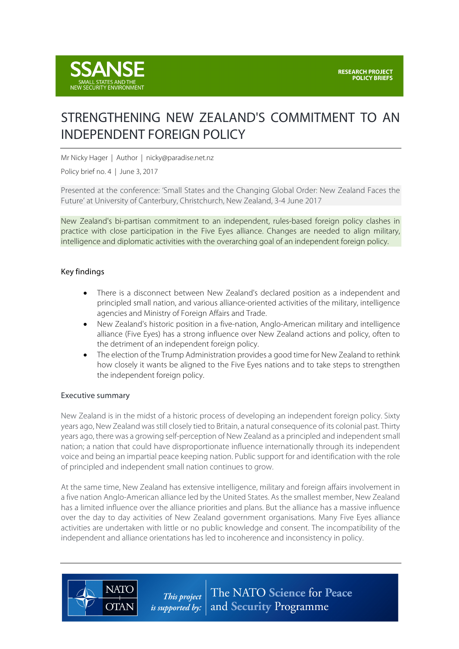

# STRENGTHENING NEW ZEALAND'S COMMITMENT TO AN INDEPENDENT FOREIGN POLICY

Mr Nicky Hager | Author | nicky@paradise.net.nz

Policy brief no. 4 | June 3, 2017

Presented at the conference: 'Small States and the Changing Global Order: New Zealand Faces the Future' at University of Canterbury, Christchurch, New Zealand, 3-4 June 2017

New Zealand's bi-partisan commitment to an independent, rules-based foreign policy clashes in practice with close participation in the Five Eyes alliance. Changes are needed to align military, intelligence and diplomatic activities with the overarching goal of an independent foreign policy.

# Key findings

- There is a disconnect between New Zealand's declared position as a independent and principled small nation, and various alliance-oriented activities of the military, intelligence agencies and Ministry of Foreign Affairs and Trade.
- New Zealand's historic position in a five-nation, Anglo-American military and intelligence alliance (Five Eyes) has a strong influence over New Zealand actions and policy, often to the detriment of an independent foreign policy.
- The election of the Trump Administration provides a good time for New Zealand to rethink how closely it wants be aligned to the Five Eyes nations and to take steps to strengthen the independent foreign policy.

#### Executive summary

**NATO** 

**OTAN** 

New Zealand is in the midst of a historic process of developing an independent foreign policy. Sixty years ago, New Zealand was still closely tied to Britain, a natural consequence of its colonial past. Thirty years ago, there was a growing self-perception of New Zealand as a principled and independent small nation; a nation that could have disproportionate influence internationally through its independent voice and being an impartial peace keeping nation. Public support for and identification with the role of principled and independent small nation continues to grow.

At the same time, New Zealand has extensive intelligence, military and foreign affairs involvement in a five nation Anglo-American alliance led by the United States. As the smallest member, New Zealand has a limited influence over the alliance priorities and plans. But the alliance has a massive influence over the day to day activities of New Zealand government organisations. Many Five Eyes alliance activities are undertaken with little or no public knowledge and consent. The incompatibility of the independent and alliance orientations has led to incoherence and inconsistency in policy.

> The NATO Science for Peace This project and Security Programme *is supported by:*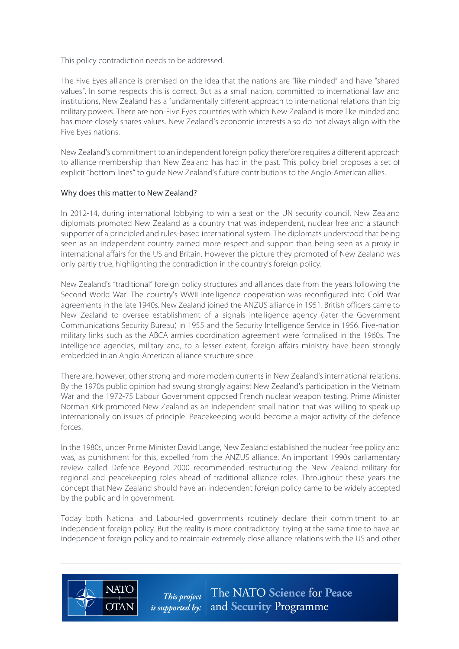This policy contradiction needs to be addressed.

The Five Eyes alliance is premised on the idea that the nations are "like minded" and have "shared values". In some respects this is correct. But as a small nation, committed to international law and institutions, New Zealand has a fundamentally different approach to international relations than big military powers. There are non-Five Eyes countries with which New Zealand is more like minded and has more closely shares values. New Zealand's economic interests also do not always align with the Five Eyes nations.

New Zealand's commitment to an independent foreign policy therefore requires a different approach to alliance membership than New Zealand has had in the past. This policy brief proposes a set of explicit "bottom lines" to guide New Zealand's future contributions to the Anglo-American allies.

# Why does this matter to New Zealand?

**NATO** 

**OTAN** 

In 2012-14, during international lobbying to win a seat on the UN security council, New Zealand diplomats promoted New Zealand as a country that was independent, nuclear free and a staunch supporter of a principled and rules-based international system. The diplomats understood that being seen as an independent country earned more respect and support than being seen as a proxy in international affairs for the US and Britain. However the picture they promoted of New Zealand was only partly true, highlighting the contradiction in the country's foreign policy.

New Zealand's "traditional" foreign policy structures and alliances date from the years following the Second World War. The country's WWII intelligence cooperation was reconfigured into Cold War agreements in the late 1940s. New Zealand joined the ANZUS alliance in 1951. British officers came to New Zealand to oversee establishment of a signals intelligence agency (later the Government Communications Security Bureau) in 1955 and the Security Intelligence Service in 1956. Five-nation military links such as the ABCA armies coordination agreement were formalised in the 1960s. The intelligence agencies, military and, to a lesser extent, foreign affairs ministry have been strongly embedded in an Anglo-American alliance structure since.

There are, however, other strong and more modern currents in New Zealand's international relations. By the 1970s public opinion had swung strongly against New Zealand's participation in the Vietnam War and the 1972-75 Labour Government opposed French nuclear weapon testing. Prime Minister Norman Kirk promoted New Zealand as an independent small nation that was willing to speak up internationally on issues of principle. Peacekeeping would become a major activity of the defence forces.

In the 1980s, under Prime Minister David Lange, New Zealand established the nuclear free policy and was, as punishment for this, expelled from the ANZUS alliance. An important 1990s parliamentary review called Defence Beyond 2000 recommended restructuring the New Zealand military for regional and peacekeeping roles ahead of traditional alliance roles. Throughout these years the concept that New Zealand should have an independent foreign policy came to be widely accepted by the public and in government.

Today both National and Labour-led governments routinely declare their commitment to an independent foreign policy. But the reality is more contradictory: trying at the same time to have an independent foreign policy and to maintain extremely close alliance relations with the US and other

> The NATO Science for Peace This project *is supported by:*  $\vert$  and **Security** Programme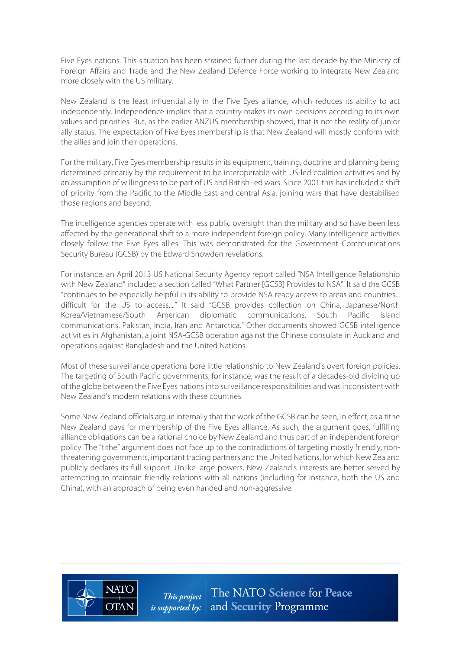Five Eyes nations. This situation has been strained further during the last decade by the Ministry of Foreign Affairs and Trade and the New Zealand Defence Force working to integrate New Zealand more closely with the US military.

New Zealand is the least influential ally in the Five Eyes alliance, which reduces its ability to act independently. Independence implies that a country makes its own decisions according to its own values and priorities. But, as the earlier ANZUS membership showed, that is not the reality of junior ally status. The expectation of Five Eyes membership is that New Zealand will mostly conform with the allies and join their operations.

For the military, Five Eyes membership results in its equipment, training, doctrine and planning being determined primarily by the requirement to be interoperable with US-led coalition activities and by an assumption of willingness to be part of US and British-led wars. Since 2001 this has included a shift of priority from the Pacific to the Middle East and central Asia, joining wars that have destabilised those regions and beyond.

The intelligence agencies operate with less public oversight than the military and so have been less affected by the generational shift to a more independent foreign policy. Many intelligence activities closely follow the Five Eyes allies. This was demonstrated for the Government Communications Security Bureau (GCSB) by the Edward Snowden revelations.

For instance, an April 2013 US National Security Agency report called "NSA Intelligence Relationship with New Zealand" included a section called "What Partner [GCSB] Provides to NSA". It said the GCSB "continues to be especially helpful in its ability to provide NSA ready access to areas and countries... difficult for the US to access...." It said "GCSB provides collection on China, Japanese/North Korea/Vietnamese/South American diplomatic communications, South Pacific island communications, Pakistan, India, Iran and Antarctica." Other documents showed GCSB intelligence activities in Afghanistan, a joint NSA-GCSB operation against the Chinese consulate in Auckland and operations against Bangladesh and the United Nations.

Most of these surveillance operations bore little relationship to New Zealand's overt foreign policies. The targeting of South Pacific governments, for instance, was the result of a decades-old dividing up of the globe between the Five Eyes nations into surveillance responsibilities and was inconsistent with New Zealand's modern relations with these countries.

Some New Zealand officials argue internally that the work of the GCSB can be seen, in effect, as a tithe New Zealand pays for membership of the Five Eyes alliance. As such, the argument goes, fulfilling alliance obligations can be a rational choice by New Zealand and thus part of an independent foreign policy. The "tithe" argument does not face up to the contradictions of targeting mostly friendly, nonthreatening governments, important trading partners and the United Nations, for which New Zealand publicly declares its full support. Unlike large powers, New Zealand's interests are better served by attempting to maintain friendly relations with all nations (including for instance, both the US and China), with an approach of being even handed and non-aggressive.



The NATO Science for Peace This project and Security Programme *is supported by:*